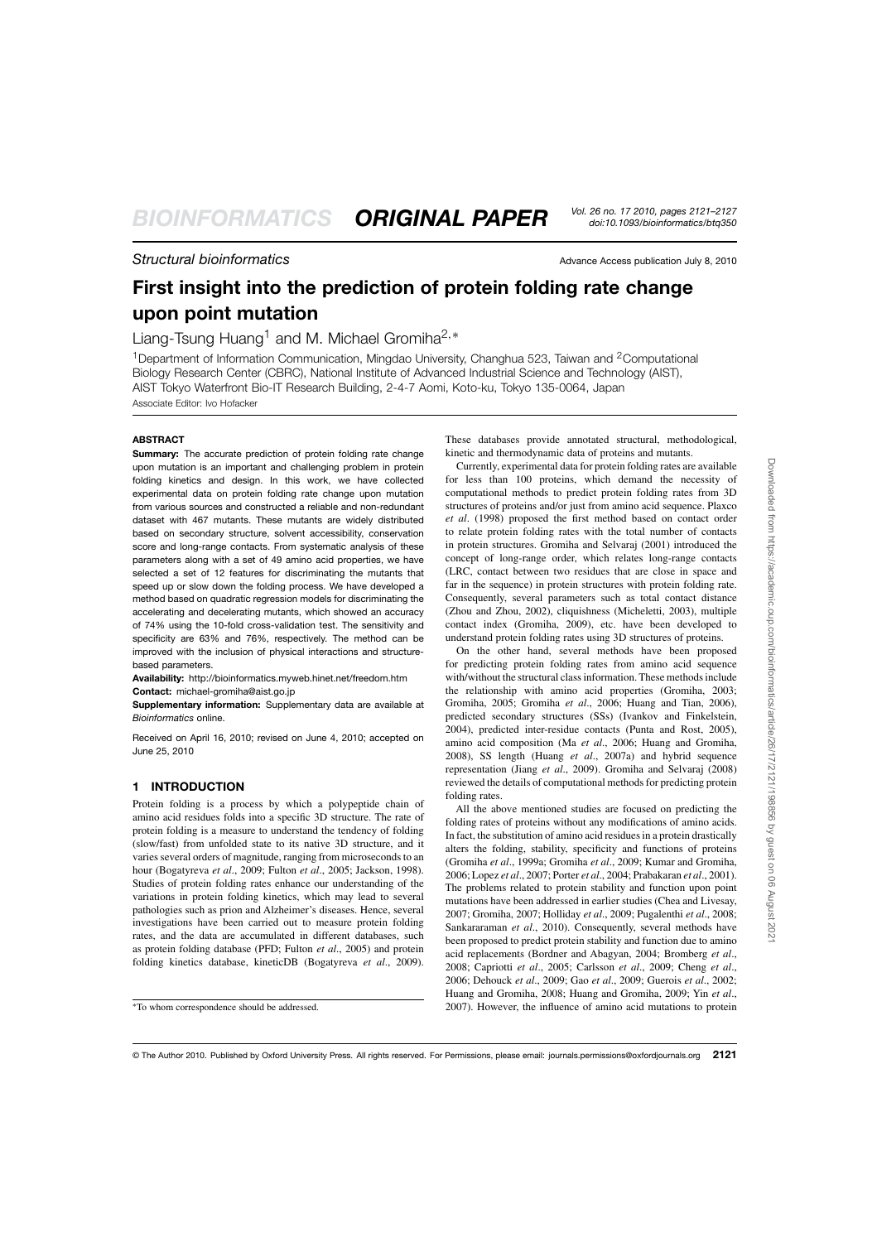# **Structural bioinformatics** Advance Access publication July 8, 2010

# **First insight into the prediction of protein folding rate change upon point mutation**

Liang-Tsung Huang<sup>1</sup> and M. Michael Gromiha<sup>2,\*</sup>

<sup>1</sup>Department of Information Communication, Mingdao University, Changhua 523, Taiwan and <sup>2</sup>Computational Biology Research Center (CBRC), National Institute of Advanced Industrial Science and Technology (AIST), AIST Tokyo Waterfront Bio-IT Research Building, 2-4-7 Aomi, Koto-ku, Tokyo 135-0064, Japan

Associate Editor: Ivo Hofacker

## **ABSTRACT**

**Summary:** The accurate prediction of protein folding rate change upon mutation is an important and challenging problem in protein folding kinetics and design. In this work, we have collected experimental data on protein folding rate change upon mutation from various sources and constructed a reliable and non-redundant dataset with 467 mutants. These mutants are widely distributed based on secondary structure, solvent accessibility, conservation score and long-range contacts. From systematic analysis of these parameters along with a set of 49 amino acid properties, we have selected a set of 12 features for discriminating the mutants that speed up or slow down the folding process. We have developed a method based on quadratic regression models for discriminating the accelerating and decelerating mutants, which showed an accuracy of 74% using the 10-fold cross-validation test. The sensitivity and specificity are 63% and 76%, respectively. The method can be improved with the inclusion of physical interactions and structurebased parameters.

**Availability:** http://bioinformatics.myweb.hinet.net/freedom.htm **Contact:** michael-gromiha@aist.go.jp

**Supplementary information:** Supplementary data are available at *Bioinformatics* online.

Received on April 16, 2010; revised on June 4, 2010; accepted on June 25, 2010

# **1 INTRODUCTION**

Protein folding is a process by which a polypeptide chain of amino acid residues folds into a specific 3D structure. The rate of protein folding is a measure to understand the tendency of folding (slow/fast) from unfolded state to its native 3D structure, and it varies several orders of magnitude, ranging from microseconds to an hour (Bogatyreva *et al*., 2009; Fulton *et al*., 2005; Jackson, 1998). Studies of protein folding rates enhance our understanding of the variations in protein folding kinetics, which may lead to several pathologies such as prion and Alzheimer's diseases. Hence, several investigations have been carried out to measure protein folding rates, and the data are accumulated in different databases, such as protein folding database (PFD; Fulton *et al*., 2005) and protein folding kinetics database, kineticDB (Bogatyreva *et al*., 2009).

These databases provide annotated structural, methodological, kinetic and thermodynamic data of proteins and mutants.

Currently, experimental data for protein folding rates are available for less than 100 proteins, which demand the necessity of computational methods to predict protein folding rates from 3D structures of proteins and/or just from amino acid sequence. Plaxco *et al*. (1998) proposed the first method based on contact order to relate protein folding rates with the total number of contacts in protein structures. Gromiha and Selvaraj (2001) introduced the concept of long-range order, which relates long-range contacts (LRC, contact between two residues that are close in space and far in the sequence) in protein structures with protein folding rate. Consequently, several parameters such as total contact distance (Zhou and Zhou, 2002), cliquishness (Micheletti, 2003), multiple contact index (Gromiha, 2009), etc. have been developed to understand protein folding rates using 3D structures of proteins.

On the other hand, several methods have been proposed for predicting protein folding rates from amino acid sequence with/without the structural class information. These methods include the relationship with amino acid properties (Gromiha, 2003; Gromiha, 2005; Gromiha *et al*., 2006; Huang and Tian, 2006), predicted secondary structures (SSs) (Ivankov and Finkelstein, 2004), predicted inter-residue contacts (Punta and Rost, 2005), amino acid composition (Ma *et al*., 2006; Huang and Gromiha, 2008), SS length (Huang *et al*., 2007a) and hybrid sequence representation (Jiang *et al*., 2009). Gromiha and Selvaraj (2008) reviewed the details of computational methods for predicting protein folding rates.

All the above mentioned studies are focused on predicting the folding rates of proteins without any modifications of amino acids. In fact, the substitution of amino acid residues in a protein drastically alters the folding, stability, specificity and functions of proteins (Gromiha *et al*., 1999a; Gromiha *et al*., 2009; Kumar and Gromiha, 2006; Lopez *et al*., 2007; Porter *et al*., 2004; Prabakaran *et al*., 2001). The problems related to protein stability and function upon point mutations have been addressed in earlier studies (Chea and Livesay, 2007; Gromiha, 2007; Holliday *et al*., 2009; Pugalenthi *et al*., 2008; Sankararaman *et al*., 2010). Consequently, several methods have been proposed to predict protein stability and function due to amino acid replacements (Bordner and Abagyan, 2004; Bromberg *et al*., 2008; Capriotti *et al*., 2005; Carlsson *et al*., 2009; Cheng *et al*., 2006; Dehouck *et al*., 2009; Gao *et al*., 2009; Guerois *et al*., 2002; Huang and Gromiha, 2008; Huang and Gromiha, 2009; Yin *et al*., 2007). However, the influence of amino acid mutations to protein

<sup>∗</sup>To whom correspondence should be addressed.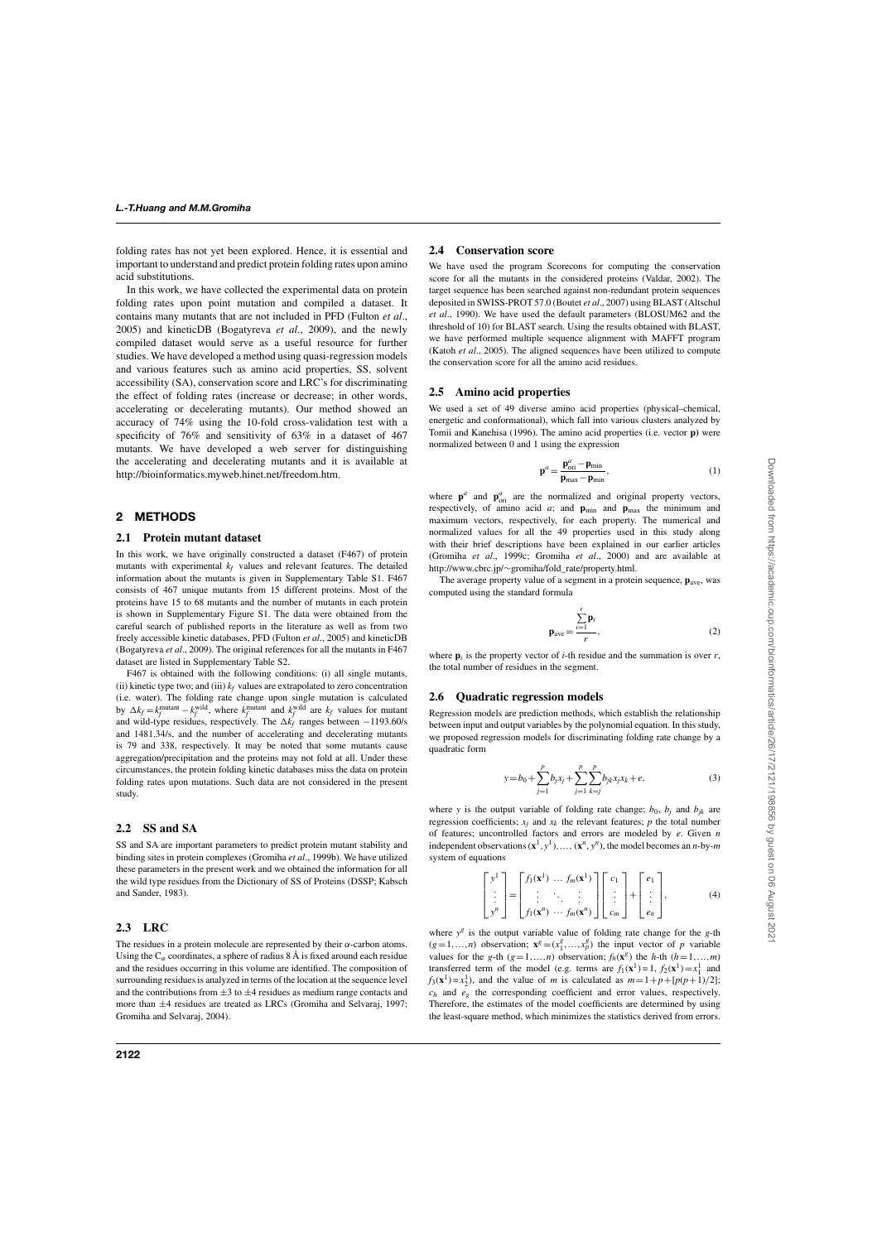folding rates has not yet been explored. Hence, it is essential and important to understand and predict protein folding rates upon amino acid substitutions.

In this work, we have collected the experimental data on protein folding rates upon point mutation and compiled a dataset. It contains many mutants that are not included in PFD (Fulton *et al*., 2005) and kineticDB (Bogatyreva *et al*., 2009), and the newly compiled dataset would serve as a useful resource for further studies. We have developed a method using quasi-regression models and various features such as amino acid properties, SS, solvent accessibility (SA), conservation score and LRC's for discriminating the effect of folding rates (increase or decrease; in other words, accelerating or decelerating mutants). Our method showed an accuracy of 74% using the 10-fold cross-validation test with a specificity of 76% and sensitivity of 63% in a dataset of 467 mutants. We have developed a web server for distinguishing the accelerating and decelerating mutants and it is available at http://bioinformatics.myweb.hinet.net/freedom.htm.

## **2 METHODS**

#### **2.1 Protein mutant dataset**

In this work, we have originally constructed a dataset (F467) of protein mutants with experimental  $k_f$  values and relevant features. The detailed information about the mutants is given in Supplementary Table S1. F467 consists of 467 unique mutants from 15 different proteins. Most of the proteins have 15 to 68 mutants and the number of mutants in each protein is shown in Supplementary Figure S1. The data were obtained from the careful search of published reports in the literature as well as from two freely accessible kinetic databases, PFD (Fulton *et al*., 2005) and kineticDB (Bogatyreva *et al*., 2009). The original references for all the mutants in F467 dataset are listed in Supplementary Table S2.

F467 is obtained with the following conditions: (i) all single mutants, (ii) kinetic type two; and (iii)  $k_f$  values are extrapolated to zero concentration (i.e. water). The folding rate change upon single mutation is calculated by  $\Delta k_f = k_f^{\text{mutant}} - k_f^{\text{wild}}$ , where  $k_f^{\text{mutant}}$  and  $k_f^{\text{wild}}$  are  $k_f$  values for mutant and wild-type residues, respectively. The  $\Delta k_f$  ranges between  $-1193.60$ /s and 1481.34/s, and the number of accelerating and decelerating mutants is 79 and 338, respectively. It may be noted that some mutants cause aggregation/precipitation and the proteins may not fold at all. Under these circumstances, the protein folding kinetic databases miss the data on protein folding rates upon mutations. Such data are not considered in the present study.

## **2.2 SS and SA**

SS and SA are important parameters to predict protein mutant stability and binding sites in protein complexes (Gromiha *et al*., 1999b). We have utilized these parameters in the present work and we obtained the information for all the wild type residues from the Dictionary of SS of Proteins (DSSP; Kabsch and Sander, 1983).

## **2.3 LRC**

The residues in a protein molecule are represented by their  $\alpha$ -carbon atoms. Using the  $C_\alpha$  coordinates, a sphere of radius 8 Å is fixed around each residue and the residues occurring in this volume are identified. The composition of surrounding residues is analyzed in terms of the location at the sequence level and the contributions from  $\pm 3$  to  $\pm 4$  residues as medium range contacts and more than  $\pm 4$  residues are treated as LRCs (Gromiha and Selvaraj, 1997; Gromiha and Selvaraj, 2004).

## **2.4 Conservation score**

We have used the program Scorecons for computing the conservation score for all the mutants in the considered proteins (Valdar, 2002). The target sequence has been searched against non-redundant protein sequences deposited in SWISS-PROT 57.0 (Boutet *et al*., 2007) using BLAST (Altschul *et al*., 1990). We have used the default parameters (BLOSUM62 and the threshold of 10) for BLAST search. Using the results obtained with BLAST, we have performed multiple sequence alignment with MAFFT program (Katoh *et al*., 2005). The aligned sequences have been utilized to compute the conservation score for all the amino acid residues.

### **2.5 Amino acid properties**

We used a set of 49 diverse amino acid properties (physical–chemical, energetic and conformational), which fall into various clusters analyzed by Tomii and Kanehisa (1996). The amino acid properties (i.e. vector **p)** were normalized between 0 and 1 using the expression

$$
\mathbf{p}^a = \frac{\mathbf{p}_{\text{ori}}^a - \mathbf{p}_{\text{min}}}{\mathbf{p}_{\text{max}} - \mathbf{p}_{\text{min}}},\tag{1}
$$

where  $\mathbf{p}^a$  and  $\mathbf{p}_{\text{ori}}^a$  are the normalized and original property vectors, respectively, of amino acid  $a$ ; and  $\mathbf{p}_{\text{min}}$  and  $\mathbf{p}_{\text{max}}$  the minimum and maximum vectors, respectively, for each property. The numerical and normalized values for all the 49 properties used in this study along with their brief descriptions have been explained in our earlier articles (Gromiha *et al*., 1999c; Gromiha *et al*., 2000) and are available at http://www.cbrc.jp/∼gromiha/fold\_rate/property.html.

The average property value of a segment in a protein sequence, **p**ave, was computed using the standard formula

$$
\mathbf{p}_{\text{ave}} = \frac{\sum_{i=1}^{r} \mathbf{p}_i}{r},\tag{2}
$$

where  $\mathbf{p}_i$  is the property vector of *i*-th residue and the summation is over *r*, the total number of residues in the segment.

#### **2.6 Quadratic regression models**

Regression models are prediction methods, which establish the relationship between input and output variables by the polynomial equation. In this study, we proposed regression models for discriminating folding rate change by a quadratic form

$$
y = b_0 + \sum_{j=1}^p b_j x_j + \sum_{j=1}^p \sum_{k=j}^p b_{jk} x_j x_k + e,
$$
 (3)

where *y* is the output variable of folding rate change;  $b_0$ ,  $b_j$  and  $b_{jk}$  are regression coefficients;  $x_j$  and  $x_k$  the relevant features;  $p$  the total number of features; uncontrolled factors and errors are modeled by *e*. Given *n* independent observations  $(\mathbf{x}^1, y^1), \dots, (\mathbf{x}^n, y^n)$ , the model becomes an *n*-by-*m* system of equations

$$
\begin{bmatrix} y^1 \\ \vdots \\ y^n \end{bmatrix} = \begin{bmatrix} f_1(\mathbf{x}^1) & \dots & f_m(\mathbf{x}^1) \\ \vdots & \ddots & \vdots \\ f_1(\mathbf{x}^n) & \dots & f_m(\mathbf{x}^n) \end{bmatrix} \begin{bmatrix} c_1 \\ \vdots \\ c_m \end{bmatrix} + \begin{bmatrix} e_1 \\ \vdots \\ e_n \end{bmatrix},
$$
 (4)

where  $y$ <sup>g</sup> is the output variable value of folding rate change for the  $g$ -th  $(g=1,...,n)$  observation;  $\mathbf{x}^{g} = (x_1^g,...,x_p^g)$  the input vector of *p* variable values for the *g*-th  $(g=1,...,n)$  observation;  $f_h(\mathbf{x}^g)$  the *h*-th  $(h=1,...,m)$ transferred term of the model (e.g. terms are  $f_1(\mathbf{x}^1) = 1$ ,  $f_2(\mathbf{x}^1) = x_1^1$  and  $f_3(\mathbf{x}^1) = x_2^1$ , and the value of *m* is calculated as  $m = 1 + p + (p(p+1)/2)$ ;  $c_h$  and  $e_g$  the corresponding coefficient and error values, respectively. Therefore, the estimates of the model coefficients are determined by using the least-square method, which minimizes the statistics derived from errors.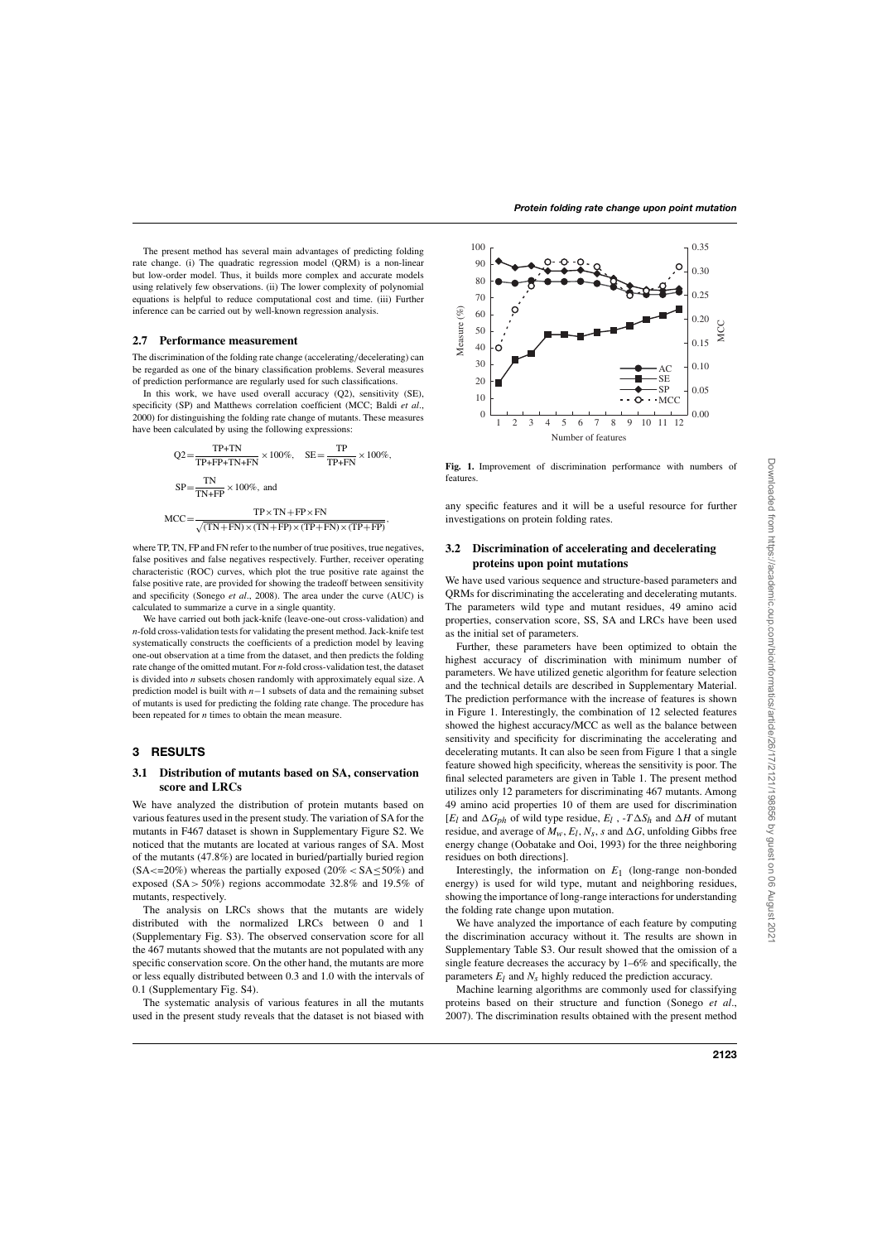The present method has several main advantages of predicting folding rate change. (i) The quadratic regression model (QRM) is a non-linear but low-order model. Thus, it builds more complex and accurate models using relatively few observations. (ii) The lower complexity of polynomial equations is helpful to reduce computational cost and time. (iii) Further inference can be carried out by well-known regression analysis.

#### **2.7 Performance measurement**

The discrimination of the folding rate change (accelerating/decelerating) can be regarded as one of the binary classification problems. Several measures of prediction performance are regularly used for such classifications.

In this work, we have used overall accuracy (Q2), sensitivity (SE), specificity (SP) and Matthews correlation coefficient (MCC; Baldi *et al*., 2000) for distinguishing the folding rate change of mutants. These measures have been calculated by using the following expressions:

$$
Q2 = \frac{TP + TN}{TP + FP + TN + FN} \times 100\%, \quad SE = \frac{TP}{TP + FN} \times 100\%,
$$
\n
$$
SP = \frac{TN}{TN + FP} \times 100\%, \text{ and}
$$
\n
$$
MCC = \frac{TP \times TN + FP \times FN}{\sqrt{(TN + FN) \times (TN + FP) \times (TP + FN) \times (TP + FP)}},
$$

where TP, TN, FP and FN refer to the number of true positives, true negatives, false positives and false negatives respectively. Further, receiver operating characteristic (ROC) curves, which plot the true positive rate against the false positive rate, are provided for showing the tradeoff between sensitivity and specificity (Sonego *et al*., 2008). The area under the curve (AUC) is calculated to summarize a curve in a single quantity.

We have carried out both jack-knife (leave-one-out cross-validation) and *n*-fold cross-validation tests for validating the present method. Jack-knife test systematically constructs the coefficients of a prediction model by leaving one-out observation at a time from the dataset, and then predicts the folding rate change of the omitted mutant. For *n*-fold cross-validation test, the dataset is divided into *n* subsets chosen randomly with approximately equal size. A prediction model is built with *n*−1 subsets of data and the remaining subset of mutants is used for predicting the folding rate change. The procedure has been repeated for *n* times to obtain the mean measure.

#### **3 RESULTS**

## **3.1 Distribution of mutants based on SA, conservation score and LRCs**

We have analyzed the distribution of protein mutants based on various features used in the present study. The variation of SA for the mutants in F467 dataset is shown in Supplementary Figure S2. We noticed that the mutants are located at various ranges of SA. Most of the mutants (47.8%) are located in buried/partially buried region  $(SA \le 20\%)$  whereas the partially exposed  $(20\% \le SA \le 50\%)$  and exposed  $(SA > 50\%)$  regions accommodate 32.8% and 19.5% of mutants, respectively.

The analysis on LRCs shows that the mutants are widely distributed with the normalized LRCs between 0 and 1 (Supplementary Fig. S3). The observed conservation score for all the 467 mutants showed that the mutants are not populated with any specific conservation score. On the other hand, the mutants are more or less equally distributed between 0.3 and 1.0 with the intervals of 0.1 (Supplementary Fig. S4).

The systematic analysis of various features in all the mutants used in the present study reveals that the dataset is not biased with



**Fig. 1.** Improvement of discrimination performance with numbers of features.

any specific features and it will be a useful resource for further investigations on protein folding rates.

## **3.2 Discrimination of accelerating and decelerating proteins upon point mutations**

We have used various sequence and structure-based parameters and QRMs for discriminating the accelerating and decelerating mutants. The parameters wild type and mutant residues, 49 amino acid properties, conservation score, SS, SA and LRCs have been used as the initial set of parameters.

Further, these parameters have been optimized to obtain the highest accuracy of discrimination with minimum number of parameters. We have utilized genetic algorithm for feature selection and the technical details are described in Supplementary Material. The prediction performance with the increase of features is shown in Figure 1. Interestingly, the combination of 12 selected features showed the highest accuracy/MCC as well as the balance between sensitivity and specificity for discriminating the accelerating and decelerating mutants. It can also be seen from Figure 1 that a single feature showed high specificity, whereas the sensitivity is poor. The final selected parameters are given in Table 1. The present method utilizes only 12 parameters for discriminating 467 mutants. Among 49 amino acid properties 10 of them are used for discrimination [ $E_l$  and  $\Delta G_{ph}$  of wild type residue,  $E_l$ ,  $-T \Delta S_h$  and  $\Delta H$  of mutant residue, and average of  $M_w$ ,  $E_l$ ,  $N_s$ ,  $s$  and  $\Delta G$ , unfolding Gibbs free energy change (Oobatake and Ooi, 1993) for the three neighboring residues on both directions].

Interestingly, the information on *E*1 (long-range non-bonded energy) is used for wild type, mutant and neighboring residues, showing the importance of long-range interactions for understanding the folding rate change upon mutation.

We have analyzed the importance of each feature by computing the discrimination accuracy without it. The results are shown in Supplementary Table S3. Our result showed that the omission of a single feature decreases the accuracy by 1–6% and specifically, the parameters  $E_l$  and  $N_s$  highly reduced the prediction accuracy.

Machine learning algorithms are commonly used for classifying proteins based on their structure and function (Sonego *et al*., 2007). The discrimination results obtained with the present method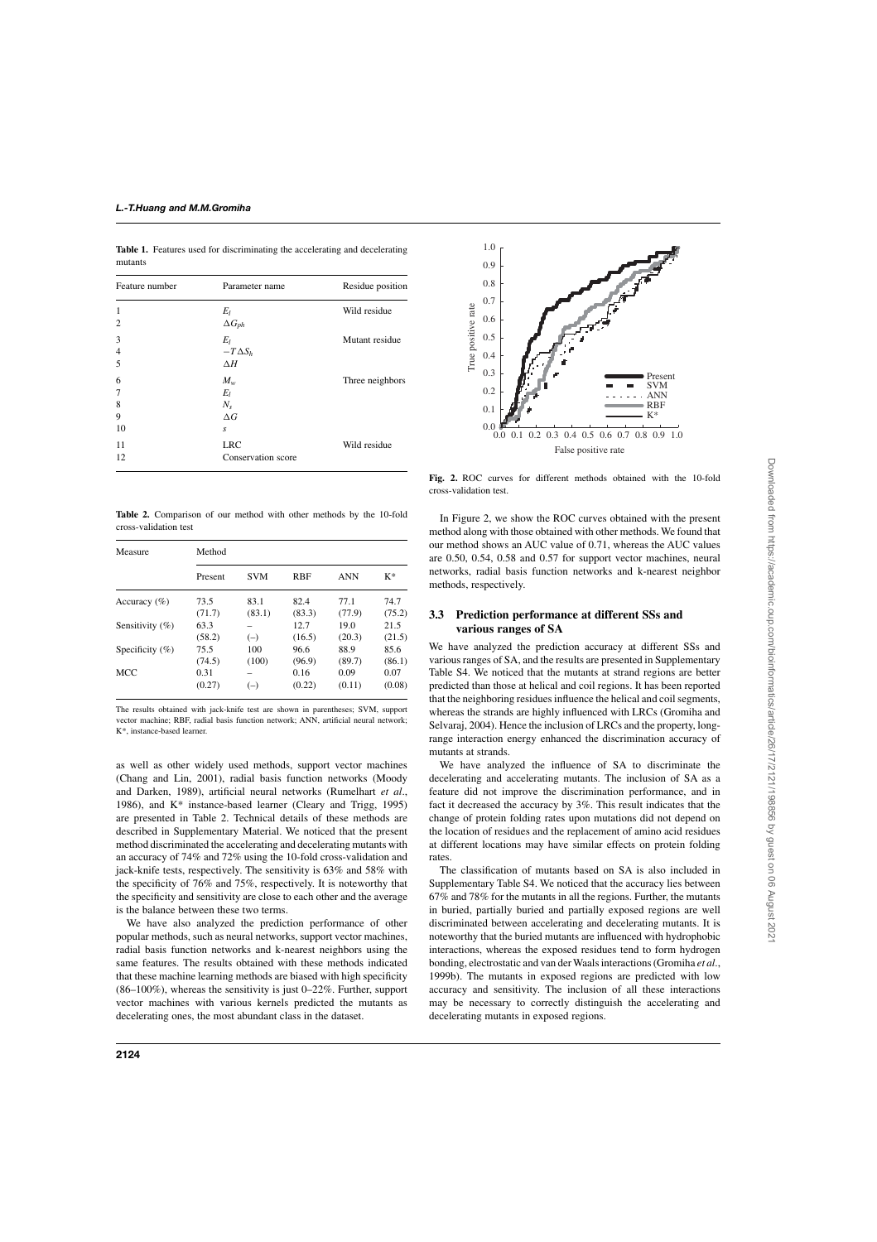**Table 1.** Features used for discriminating the accelerating and decelerating mutants

| Feature number | Parameter name     | Residue position |  |  |
|----------------|--------------------|------------------|--|--|
| 1              | $E_l$              | Wild residue     |  |  |
| $\overline{2}$ | $\Delta G_{ph}$    |                  |  |  |
| 3              | $E_I$              | Mutant residue   |  |  |
| $\overline{4}$ | $-T\Delta S_h$     |                  |  |  |
| 5              | $\Delta H$         |                  |  |  |
| 6              | $M_w$              | Three neighbors  |  |  |
| 7              | $E_l$              |                  |  |  |
| 8              | $N_{\rm s}$        |                  |  |  |
| 9              | $\Delta G$         |                  |  |  |
| 10             | S                  |                  |  |  |
| 11             | <b>LRC</b>         | Wild residue     |  |  |
| 12             | Conservation score |                  |  |  |
|                |                    |                  |  |  |

**Table 2.** Comparison of our method with other methods by the 10-fold cross-validation test

| Measure            | Method  |            |            |            |        |  |
|--------------------|---------|------------|------------|------------|--------|--|
|                    | Present | <b>SVM</b> | <b>RBF</b> | <b>ANN</b> | $K^*$  |  |
| Accuracy $(\% )$   | 73.5    | 83.1       | 82.4       | 77.1       | 74.7   |  |
|                    | (71.7)  | (83.1)     | (83.3)     | (77.9)     | (75.2) |  |
| Sensitivity (%)    | 63.3    |            | 12.7       | 19.0       | 21.5   |  |
|                    | (58.2)  | $(-)$      | (16.5)     | (20.3)     | (21.5) |  |
| Specificity $(\%)$ | 75.5    | 100        | 96.6       | 88.9       | 85.6   |  |
|                    | (74.5)  | (100)      | (96.9)     | (89.7)     | (86.1) |  |
| MCC                | 0.31    |            | 0.16       | 0.09       | 0.07   |  |
|                    | (0.27)  | $(-)$      | (0.22)     | (0.11)     | (0.08) |  |

The results obtained with jack-knife test are shown in parentheses; SVM, support vector machine; RBF, radial basis function network; ANN, artificial neural network; K\*, instance-based learner.

as well as other widely used methods, support vector machines (Chang and Lin, 2001), radial basis function networks (Moody and Darken, 1989), artificial neural networks (Rumelhart *et al*., 1986), and K\* instance-based learner (Cleary and Trigg, 1995) are presented in Table 2. Technical details of these methods are described in Supplementary Material. We noticed that the present method discriminated the accelerating and decelerating mutants with an accuracy of 74% and 72% using the 10-fold cross-validation and jack-knife tests, respectively. The sensitivity is 63% and 58% with the specificity of 76% and 75%, respectively. It is noteworthy that the specificity and sensitivity are close to each other and the average is the balance between these two terms.

We have also analyzed the prediction performance of other popular methods, such as neural networks, support vector machines, radial basis function networks and k-nearest neighbors using the same features. The results obtained with these methods indicated that these machine learning methods are biased with high specificity (86–100%), whereas the sensitivity is just 0–22%. Further, support vector machines with various kernels predicted the mutants as decelerating ones, the most abundant class in the dataset.



**Fig. 2.** ROC curves for different methods obtained with the 10-fold cross-validation test.

In Figure 2, we show the ROC curves obtained with the present method along with those obtained with other methods. We found that our method shows an AUC value of 0.71, whereas the AUC values are 0.50, 0.54, 0.58 and 0.57 for support vector machines, neural networks, radial basis function networks and k-nearest neighbor methods, respectively.

# **3.3 Prediction performance at different SSs and various ranges of SA**

We have analyzed the prediction accuracy at different SSs and various ranges of SA, and the results are presented in Supplementary Table S4. We noticed that the mutants at strand regions are better predicted than those at helical and coil regions. It has been reported that the neighboring residues influence the helical and coil segments, whereas the strands are highly influenced with LRCs (Gromiha and Selvaraj, 2004). Hence the inclusion of LRCs and the property, longrange interaction energy enhanced the discrimination accuracy of mutants at strands.

We have analyzed the influence of SA to discriminate the decelerating and accelerating mutants. The inclusion of SA as a feature did not improve the discrimination performance, and in fact it decreased the accuracy by 3%. This result indicates that the change of protein folding rates upon mutations did not depend on the location of residues and the replacement of amino acid residues at different locations may have similar effects on protein folding rates.

The classification of mutants based on SA is also included in Supplementary Table S4. We noticed that the accuracy lies between 67% and 78% for the mutants in all the regions. Further, the mutants in buried, partially buried and partially exposed regions are well discriminated between accelerating and decelerating mutants. It is noteworthy that the buried mutants are influenced with hydrophobic interactions, whereas the exposed residues tend to form hydrogen bonding, electrostatic and van der Waals interactions (Gromiha *et al*., 1999b). The mutants in exposed regions are predicted with low accuracy and sensitivity. The inclusion of all these interactions may be necessary to correctly distinguish the accelerating and decelerating mutants in exposed regions.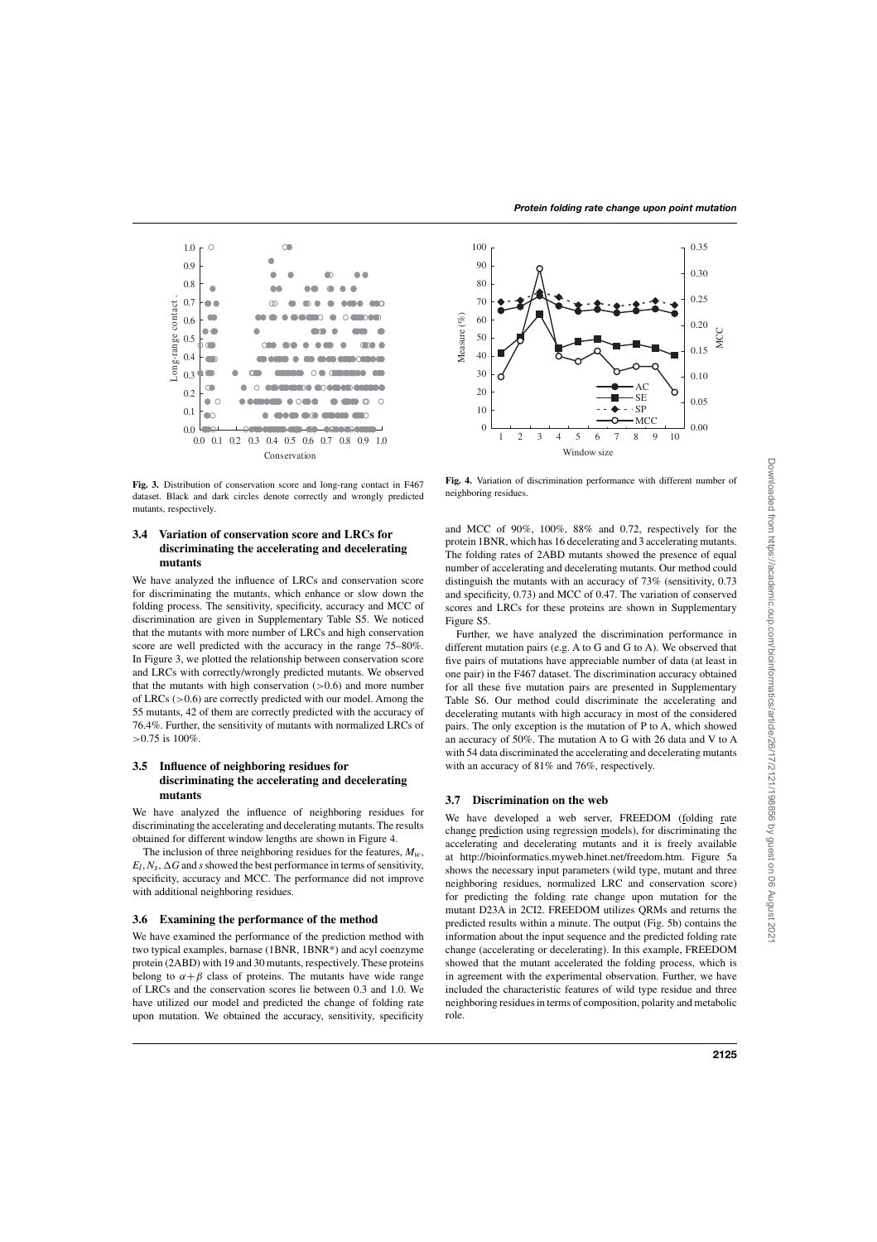

**Fig. 3.** Distribution of conservation score and long-rang contact in F467 dataset. Black and dark circles denote correctly and wrongly predicted mutants, respectively.

# **3.4 Variation of conservation score and LRCs for discriminating the accelerating and decelerating mutants**

We have analyzed the influence of LRCs and conservation score for discriminating the mutants, which enhance or slow down the folding process. The sensitivity, specificity, accuracy and MCC of discrimination are given in Supplementary Table S5. We noticed that the mutants with more number of LRCs and high conservation score are well predicted with the accuracy in the range 75–80%. In Figure 3, we plotted the relationship between conservation score and LRCs with correctly/wrongly predicted mutants. We observed that the mutants with high conservation  $(>0.6)$  and more number of LRCs (>0.6) are correctly predicted with our model. Among the 55 mutants, 42 of them are correctly predicted with the accuracy of 76.4%. Further, the sensitivity of mutants with normalized LRCs of >0.75 is 100%.

# **3.5 Influence of neighboring residues for discriminating the accelerating and decelerating mutants**

We have analyzed the influence of neighboring residues for discriminating the accelerating and decelerating mutants. The results obtained for different window lengths are shown in Figure 4.

The inclusion of three neighboring residues for the features,  $M_w$ ,  $E_l$ ,  $N_s$ ,  $\Delta G$  and *s* showed the best performance in terms of sensitivity, specificity, accuracy and MCC. The performance did not improve with additional neighboring residues.

## **3.6 Examining the performance of the method**

We have examined the performance of the prediction method with two typical examples, barnase (1BNR, 1BNR\*) and acyl coenzyme protein (2ABD) with 19 and 30 mutants, respectively. These proteins belong to  $\alpha + \beta$  class of proteins. The mutants have wide range of LRCs and the conservation scores lie between 0.3 and 1.0. We have utilized our model and predicted the change of folding rate upon mutation. We obtained the accuracy, sensitivity, specificity



**Fig. 4.** Variation of discrimination performance with different number of neighboring residues.

and MCC of 90%, 100%, 88% and 0.72, respectively for the protein 1BNR, which has 16 decelerating and 3 accelerating mutants. The folding rates of 2ABD mutants showed the presence of equal number of accelerating and decelerating mutants. Our method could distinguish the mutants with an accuracy of 73% (sensitivity, 0.73 and specificity, 0.73) and MCC of 0.47. The variation of conserved scores and LRCs for these proteins are shown in Supplementary Figure S5.

Further, we have analyzed the discrimination performance in different mutation pairs (e.g. A to G and G to A). We observed that five pairs of mutations have appreciable number of data (at least in one pair) in the F467 dataset. The discrimination accuracy obtained for all these five mutation pairs are presented in Supplementary Table S6. Our method could discriminate the accelerating and decelerating mutants with high accuracy in most of the considered pairs. The only exception is the mutation of P to A, which showed an accuracy of 50%. The mutation A to G with 26 data and V to A with 54 data discriminated the accelerating and decelerating mutants with an accuracy of 81% and 76%, respectively.

# **3.7 Discrimination on the web**

We have developed a web server, FREEDOM (folding rate change prediction using regression models), for discriminating the accelerating and decelerating mutants and it is freely available at http://bioinformatics.myweb.hinet.net/freedom.htm. Figure 5a shows the necessary input parameters (wild type, mutant and three neighboring residues, normalized LRC and conservation score) for predicting the folding rate change upon mutation for the mutant D23A in 2CI2. FREEDOM utilizes QRMs and returns the predicted results within a minute. The output (Fig. 5b) contains the information about the input sequence and the predicted folding rate change (accelerating or decelerating). In this example, FREEDOM showed that the mutant accelerated the folding process, which is in agreement with the experimental observation. Further, we have included the characteristic features of wild type residue and three neighboring residues in terms of composition, polarity and metabolic role.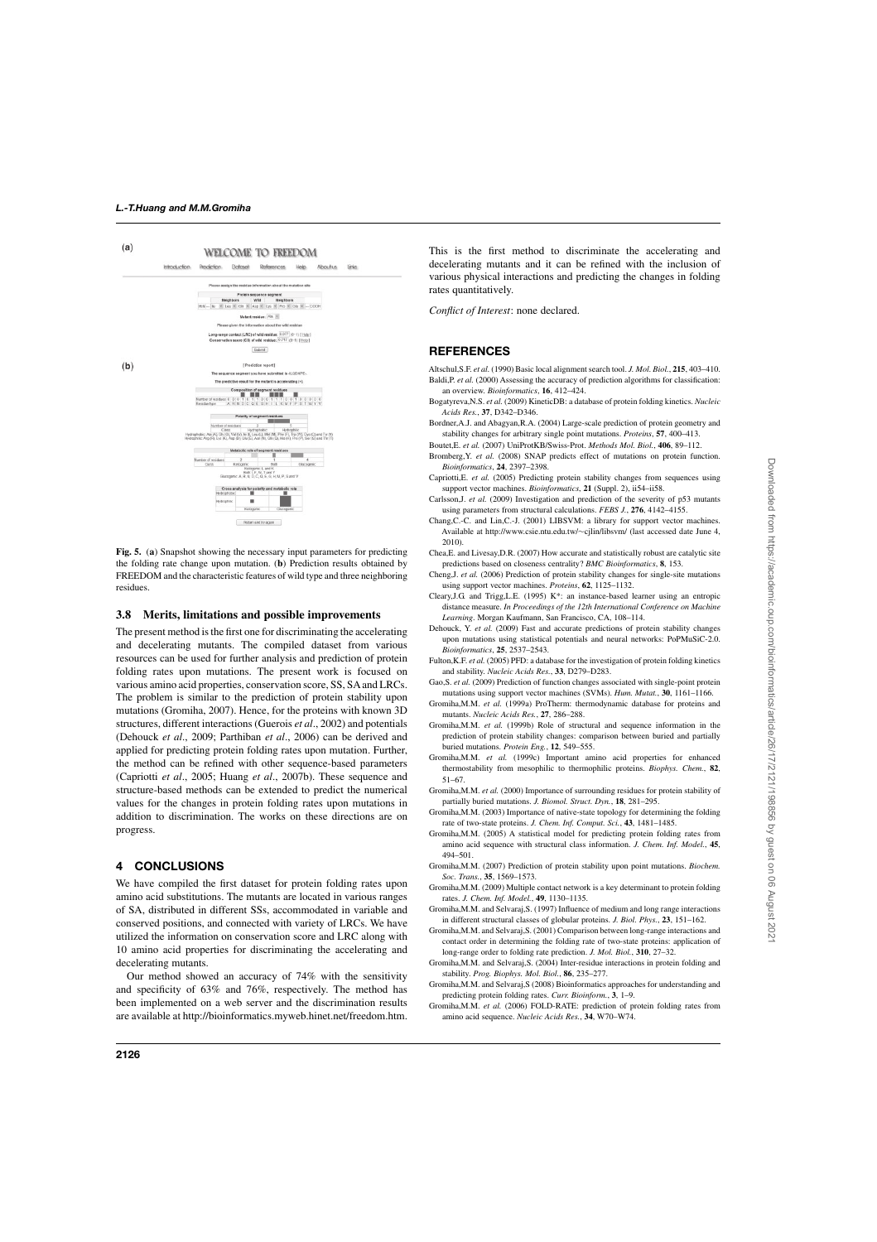

**Fig. 5.** (**a**) Snapshot showing the necessary input parameters for predicting the folding rate change upon mutation. (**b**) Prediction results obtained by FREEDOM and the characteristic features of wild type and three neighboring residues.

### **3.8 Merits, limitations and possible improvements**

The present method is the first one for discriminating the accelerating and decelerating mutants. The compiled dataset from various resources can be used for further analysis and prediction of protein folding rates upon mutations. The present work is focused on various amino acid properties, conservation score, SS, SAand LRCs. The problem is similar to the prediction of protein stability upon mutations (Gromiha, 2007). Hence, for the proteins with known 3D structures, different interactions (Guerois *et al*., 2002) and potentials (Dehouck *et al*., 2009; Parthiban *et al*., 2006) can be derived and applied for predicting protein folding rates upon mutation. Further, the method can be refined with other sequence-based parameters (Capriotti *et al*., 2005; Huang *et al*., 2007b). These sequence and structure-based methods can be extended to predict the numerical values for the changes in protein folding rates upon mutations in addition to discrimination. The works on these directions are on progress.

# **4 CONCLUSIONS**

We have compiled the first dataset for protein folding rates upon amino acid substitutions. The mutants are located in various ranges of SA, distributed in different SSs, accommodated in variable and conserved positions, and connected with variety of LRCs. We have utilized the information on conservation score and LRC along with 10 amino acid properties for discriminating the accelerating and decelerating mutants.

Our method showed an accuracy of 74% with the sensitivity and specificity of 63% and 76%, respectively. The method has been implemented on a web server and the discrimination results are available at http://bioinformatics.myweb.hinet.net/freedom.htm.

This is the first method to discriminate the accelerating and decelerating mutants and it can be refined with the inclusion of various physical interactions and predicting the changes in folding rates quantitatively.

*Conflict of Interest*: none declared.

# **REFERENCES**

- Altschul,S.F. *et al.* (1990) Basic local alignment search tool. *J. Mol. Biol.*, **215**, 403–410. Baldi, P. *et al.* (2000) Assessing the accuracy of prediction algorithms for classification: an overview. *Bioinformatics*, **16**, 412–424.
- Bogatyreva,N.S. *et al.* (2009) KineticDB: a database of protein folding kinetics. *Nucleic Acids Res.*, **37**, D342–D346.
- Bordner,A.J. and Abagyan,R.A. (2004) Large-scale prediction of protein geometry and stability changes for arbitrary single point mutations. *Proteins*, **57**, 400–413.
- Boutet,E. *et al.* (2007) UniProtKB/Swiss-Prot. *Methods Mol. Biol.*, **406**, 89–112.
- Bromberg,Y. *et al.* (2008) SNAP predicts effect of mutations on protein function. *Bioinformatics*, **24**, 2397–2398.
- Capriotti,E. *et al.* (2005) Predicting protein stability changes from sequences using support vector machines. *Bioinformatics*, **21** (Suppl. 2), ii54–ii58.
- Carlsson,J. *et al.* (2009) Investigation and prediction of the severity of p53 mutants using parameters from structural calculations. *FEBS J.*, **276**, 4142–4155.
- Chang,C.-C. and Lin,C.-J. (2001) LIBSVM: a library for support vector machines. Available at http://www.csie.ntu.edu.tw/∼cjlin/libsvm/ (last accessed date June 4, 2010).
- Chea,E. and Livesay,D.R. (2007) How accurate and statistically robust are catalytic site predictions based on closeness centrality? *BMC Bioinformatics*, **8**, 153.
- Cheng,J. *et al.* (2006) Prediction of protein stability changes for single-site mutations using support vector machines. *Proteins*, **62**, 1125–1132.
- Cleary,J.G. and Trigg,L.E. (1995) K\*: an instance-based learner using an entropic distance measure. *In Proceedings of the 12th International Conference on Machine Learning*. Morgan Kaufmann, San Francisco, CA, 108–114.
- Dehouck, Y. *et al.* (2009) Fast and accurate predictions of protein stability changes upon mutations using statistical potentials and neural networks: PoPMuSiC-2.0. *Bioinformatics*, **25**, 2537–2543.
- Fulton, K.F. *et al.* (2005) PFD: a database for the investigation of protein folding kinetics and stability. *Nucleic Acids Res.*, **33**, D279–D283.
- Gao,S. *et al.* (2009) Prediction of function changes associated with single-point protein mutations using support vector machines (SVMs). *Hum. Mutat.*, **30**, 1161–1166.
- Gromiha,M.M. *et al.* (1999a) ProTherm: thermodynamic database for proteins and mutants. *Nucleic Acids Res.*, **27**, 286–288.
- Gromiha,M.M. *et al.* (1999b) Role of structural and sequence information in the prediction of protein stability changes: comparison between buried and partially buried mutations. *Protein Eng.*, **12**, 549–555.
- Gromiha,M.M. *et al.* (1999c) Important amino acid properties for enhanced thermostability from mesophilic to thermophilic proteins. *Biophys. Chem.*, **82**, 51–67.
- Gromiha,M.M. *et al.* (2000) Importance of surrounding residues for protein stability of partially buried mutations. *J. Biomol. Struct. Dyn.*, **18**, 281–295.
- Gromiha,M.M. (2003) Importance of native-state topology for determining the folding rate of two-state proteins. *J. Chem. Inf. Comput. Sci.*, **43**, 1481–1485.
- Gromiha,M.M. (2005) A statistical model for predicting protein folding rates from amino acid sequence with structural class information. *J. Chem. Inf. Model.*, **45**, 494–501.
- Gromiha,M.M. (2007) Prediction of protein stability upon point mutations. *Biochem. Soc. Trans.*, **35**, 1569–1573.
- Gromiha,M.M. (2009) Multiple contact network is a key determinant to protein folding rates. *J. Chem. Inf. Model.*, **49**, 1130–1135.
- Gromiha,M.M. and Selvaraj,S. (1997) Influence of medium and long range interactions in different structural classes of globular proteins. *J. Biol. Phys.*, **23**, 151–162.
- Gromiha,M.M. and Selvaraj,S. (2001) Comparison between long-range interactions and contact order in determining the folding rate of two-state proteins: application of long-range order to folding rate prediction. *J. Mol. Biol.*, **310**, 27–32.
- Gromiha,M.M. and Selvaraj,S. (2004) Inter-residue interactions in protein folding and stability. *Prog. Biophys. Mol. Biol.*, **86**, 235–277.
- Gromiha,M.M. and Selvaraj,S (2008) Bioinformatics approaches for understanding and predicting protein folding rates. *Curr. Bioinform.*, **3**, 1–9.
- Gromiha,M.M. *et al.* (2006) FOLD-RATE: prediction of protein folding rates from amino acid sequence. *Nucleic Acids Res.*, **34**, W70–W74.